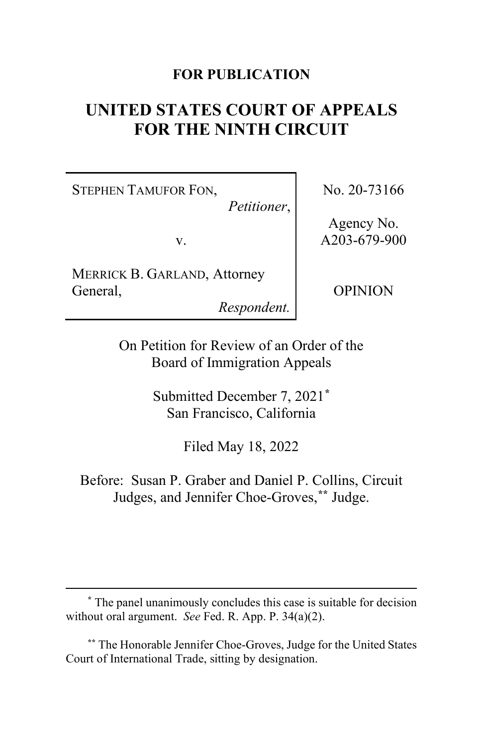## **FOR PUBLICATION**

# **UNITED STATES COURT OF APPEALS FOR THE NINTH CIRCUIT**

STEPHEN TAMUFOR FON,

*Petitioner*,

v.

MERRICK B. GARLAND, Attorney General,

*Respondent.*

No. 20-73166

Agency No. A203-679-900

OPINION

On Petition for Review of an Order of the Board of Immigration Appeals

> Submitted December 7, 2021**[\\*](#page-0-0)** San Francisco, California

> > Filed May 18, 2022

Before: Susan P. Graber and Daniel P. Collins, Circuit Judges, and Jennifer Choe-Groves,**[\\*\\*](#page-0-1)** Judge.

<span id="page-0-0"></span>**\*** The panel unanimously concludes this case is suitable for decision without oral argument. *See* Fed. R. App. P. 34(a)(2).

<span id="page-0-1"></span>**\*\*** The Honorable Jennifer Choe-Groves, Judge for the United States Court of International Trade, sitting by designation.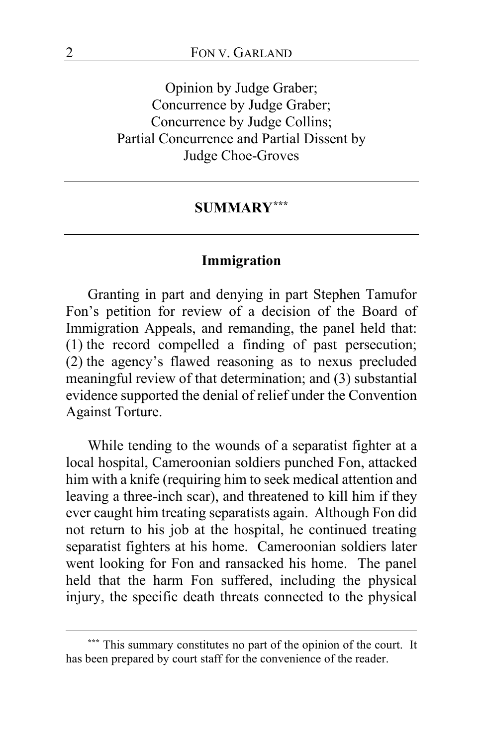Opinion by Judge Graber; Concurrence by Judge Graber; Concurrence by Judge Collins; Partial Concurrence and Partial Dissent by Judge Choe-Groves

#### **SUMMARY[\\*\\*\\*](#page-1-0)**

#### **Immigration**

Granting in part and denying in part Stephen Tamufor Fon's petition for review of a decision of the Board of Immigration Appeals, and remanding, the panel held that: (1) the record compelled a finding of past persecution; (2) the agency's flawed reasoning as to nexus precluded meaningful review of that determination; and (3) substantial evidence supported the denial of relief under the Convention Against Torture.

While tending to the wounds of a separatist fighter at a local hospital, Cameroonian soldiers punched Fon, attacked him with a knife (requiring him to seek medical attention and leaving a three-inch scar), and threatened to kill him if they ever caught him treating separatists again. Although Fon did not return to his job at the hospital, he continued treating separatist fighters at his home. Cameroonian soldiers later went looking for Fon and ransacked his home. The panel held that the harm Fon suffered, including the physical injury, the specific death threats connected to the physical

<span id="page-1-0"></span>**<sup>\*\*\*</sup>** This summary constitutes no part of the opinion of the court. It has been prepared by court staff for the convenience of the reader.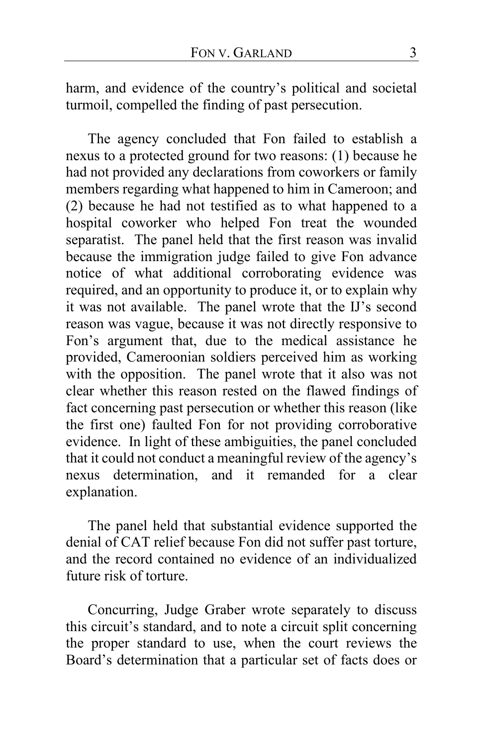harm, and evidence of the country's political and societal turmoil, compelled the finding of past persecution.

The agency concluded that Fon failed to establish a nexus to a protected ground for two reasons: (1) because he had not provided any declarations from coworkers or family members regarding what happened to him in Cameroon; and (2) because he had not testified as to what happened to a hospital coworker who helped Fon treat the wounded separatist. The panel held that the first reason was invalid because the immigration judge failed to give Fon advance notice of what additional corroborating evidence was required, and an opportunity to produce it, or to explain why it was not available. The panel wrote that the IJ's second reason was vague, because it was not directly responsive to Fon's argument that, due to the medical assistance he provided, Cameroonian soldiers perceived him as working with the opposition. The panel wrote that it also was not clear whether this reason rested on the flawed findings of fact concerning past persecution or whether this reason (like the first one) faulted Fon for not providing corroborative evidence. In light of these ambiguities, the panel concluded that it could not conduct a meaningful review of the agency's nexus determination, and it remanded for a clear explanation.

The panel held that substantial evidence supported the denial of CAT relief because Fon did not suffer past torture, and the record contained no evidence of an individualized future risk of torture.

Concurring, Judge Graber wrote separately to discuss this circuit's standard, and to note a circuit split concerning the proper standard to use, when the court reviews the Board's determination that a particular set of facts does or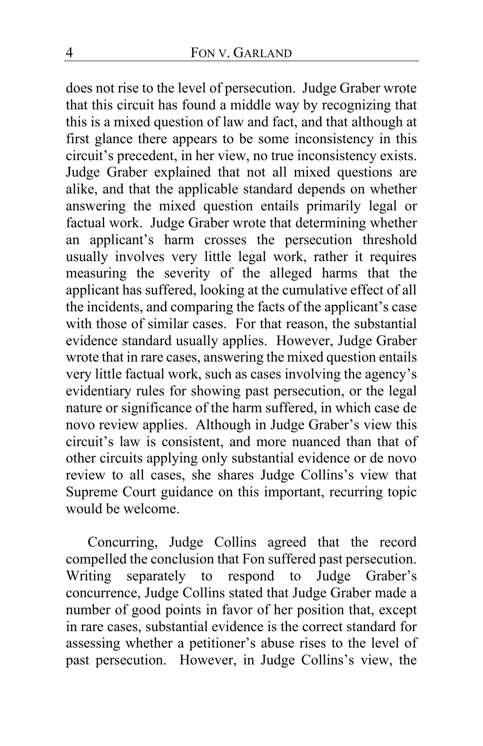does not rise to the level of persecution. Judge Graber wrote that this circuit has found a middle way by recognizing that this is a mixed question of law and fact, and that although at first glance there appears to be some inconsistency in this circuit's precedent, in her view, no true inconsistency exists. Judge Graber explained that not all mixed questions are alike, and that the applicable standard depends on whether answering the mixed question entails primarily legal or factual work. Judge Graber wrote that determining whether an applicant's harm crosses the persecution threshold usually involves very little legal work, rather it requires measuring the severity of the alleged harms that the applicant has suffered, looking at the cumulative effect of all the incidents, and comparing the facts of the applicant's case with those of similar cases. For that reason, the substantial evidence standard usually applies. However, Judge Graber wrote that in rare cases, answering the mixed question entails very little factual work, such as cases involving the agency's evidentiary rules for showing past persecution, or the legal nature or significance of the harm suffered, in which case de novo review applies. Although in Judge Graber's view this circuit's law is consistent, and more nuanced than that of other circuits applying only substantial evidence or de novo review to all cases, she shares Judge Collins's view that Supreme Court guidance on this important, recurring topic would be welcome.

Concurring, Judge Collins agreed that the record compelled the conclusion that Fon suffered past persecution.<br>Writing separately to respond to Judge Graber's Writing separately to respond to concurrence, Judge Collins stated that Judge Graber made a number of good points in favor of her position that, except in rare cases, substantial evidence is the correct standard for assessing whether a petitioner's abuse rises to the level of past persecution. However, in Judge Collins's view, the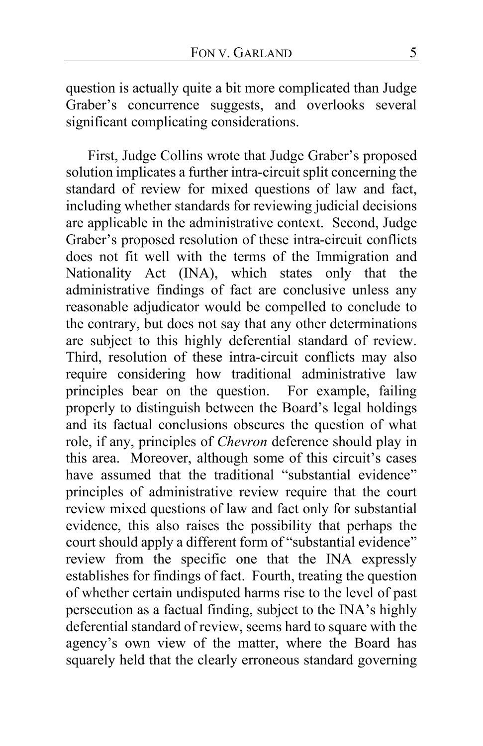question is actually quite a bit more complicated than Judge Graber's concurrence suggests, and overlooks several significant complicating considerations.

First, Judge Collins wrote that Judge Graber's proposed solution implicates a further intra-circuit split concerning the standard of review for mixed questions of law and fact, including whether standards for reviewing judicial decisions are applicable in the administrative context. Second, Judge Graber's proposed resolution of these intra-circuit conflicts does not fit well with the terms of the Immigration and Nationality Act (INA), which states only that the administrative findings of fact are conclusive unless any reasonable adjudicator would be compelled to conclude to the contrary, but does not say that any other determinations are subject to this highly deferential standard of review. Third, resolution of these intra-circuit conflicts may also require considering how traditional administrative law principles bear on the question. For example, failing properly to distinguish between the Board's legal holdings and its factual conclusions obscures the question of what role, if any, principles of *Chevron* deference should play in this area. Moreover, although some of this circuit's cases have assumed that the traditional "substantial evidence" principles of administrative review require that the court review mixed questions of law and fact only for substantial evidence, this also raises the possibility that perhaps the court should apply a different form of "substantial evidence" review from the specific one that the INA expressly establishes for findings of fact. Fourth, treating the question of whether certain undisputed harms rise to the level of past persecution as a factual finding, subject to the INA's highly deferential standard of review, seems hard to square with the agency's own view of the matter, where the Board has squarely held that the clearly erroneous standard governing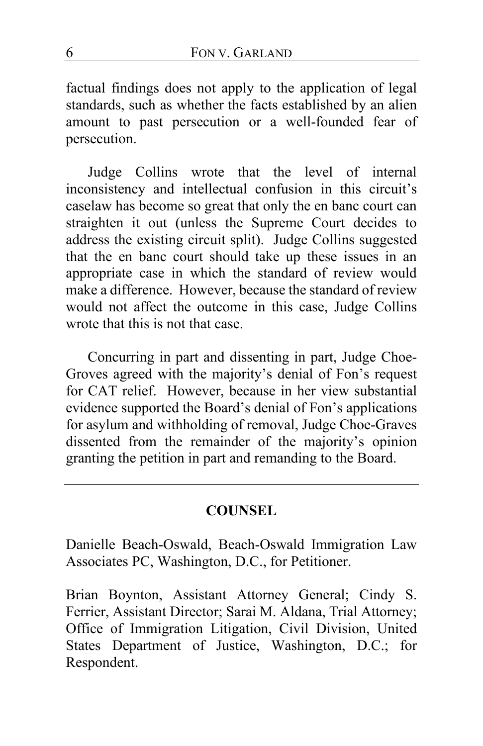factual findings does not apply to the application of legal standards, such as whether the facts established by an alien amount to past persecution or a well-founded fear of persecution.

Judge Collins wrote that the level of internal inconsistency and intellectual confusion in this circuit's caselaw has become so great that only the en banc court can straighten it out (unless the Supreme Court decides to address the existing circuit split). Judge Collins suggested that the en banc court should take up these issues in an appropriate case in which the standard of review would make a difference. However, because the standard of review would not affect the outcome in this case, Judge Collins wrote that this is not that case.

Concurring in part and dissenting in part, Judge Choe-Groves agreed with the majority's denial of Fon's request for CAT relief. However, because in her view substantial evidence supported the Board's denial of Fon's applications for asylum and withholding of removal, Judge Choe-Graves dissented from the remainder of the majority's opinion granting the petition in part and remanding to the Board.

## **COUNSEL**

Danielle Beach-Oswald, Beach-Oswald Immigration Law Associates PC, Washington, D.C., for Petitioner.

Brian Boynton, Assistant Attorney General; Cindy S. Ferrier, Assistant Director; Sarai M. Aldana, Trial Attorney; Office of Immigration Litigation, Civil Division, United States Department of Justice, Washington, D.C.; for Respondent.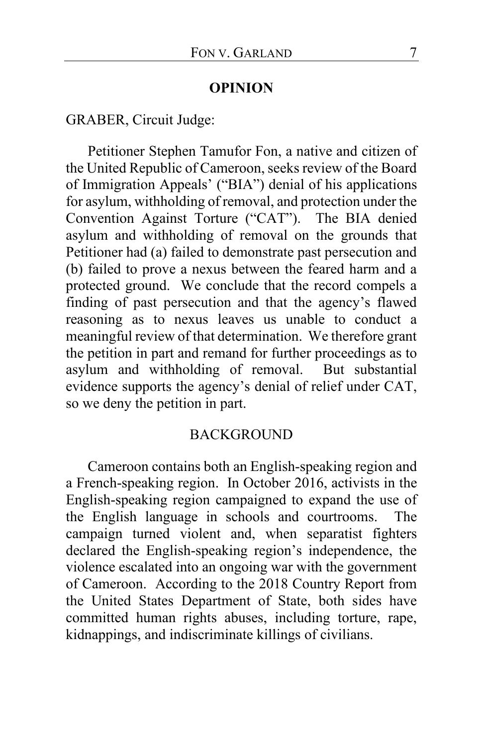#### **OPINION**

GRABER, Circuit Judge:

Petitioner Stephen Tamufor Fon, a native and citizen of the United Republic of Cameroon, seeks review of the Board of Immigration Appeals' ("BIA") denial of his applications for asylum, withholding of removal, and protection under the Convention Against Torture ("CAT"). The BIA denied asylum and withholding of removal on the grounds that Petitioner had (a) failed to demonstrate past persecution and (b) failed to prove a nexus between the feared harm and a protected ground. We conclude that the record compels a finding of past persecution and that the agency's flawed reasoning as to nexus leaves us unable to conduct a meaningful review of that determination. We therefore grant the petition in part and remand for further proceedings as to asylum and withholding of removal. But substantial evidence supports the agency's denial of relief under CAT, so we deny the petition in part.

#### **BACKGROUND**

Cameroon contains both an English-speaking region and a French-speaking region. In October 2016, activists in the English-speaking region campaigned to expand the use of the English language in schools and courtrooms. The campaign turned violent and, when separatist fighters declared the English-speaking region's independence, the violence escalated into an ongoing war with the government of Cameroon. According to the 2018 Country Report from the United States Department of State, both sides have committed human rights abuses, including torture, rape, kidnappings, and indiscriminate killings of civilians.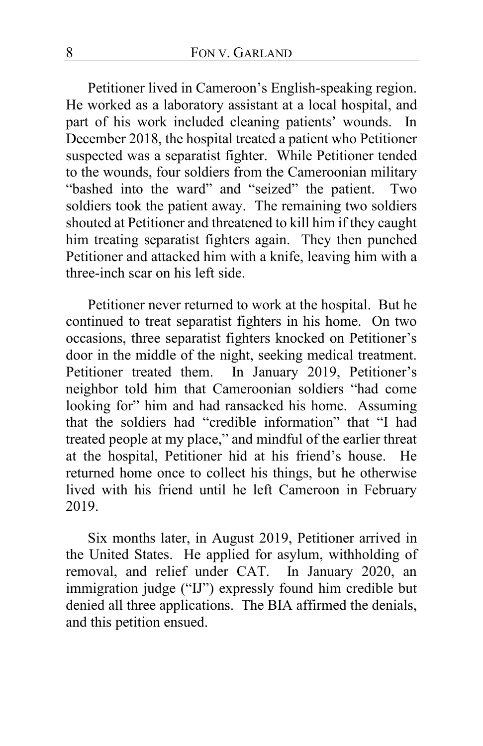Petitioner lived in Cameroon's English-speaking region. He worked as a laboratory assistant at a local hospital, and part of his work included cleaning patients' wounds. In December 2018, the hospital treated a patient who Petitioner suspected was a separatist fighter. While Petitioner tended to the wounds, four soldiers from the Cameroonian military "bashed into the ward" and "seized" the patient. Two soldiers took the patient away. The remaining two soldiers shouted at Petitioner and threatened to kill him if they caught him treating separatist fighters again. They then punched Petitioner and attacked him with a knife, leaving him with a three-inch scar on his left side.

Petitioner never returned to work at the hospital. But he continued to treat separatist fighters in his home. On two occasions, three separatist fighters knocked on Petitioner's door in the middle of the night, seeking medical treatment. Petitioner treated them. In January 2019, Petitioner's neighbor told him that Cameroonian soldiers "had come looking for" him and had ransacked his home. Assuming that the soldiers had "credible information" that "I had treated people at my place," and mindful of the earlier threat at the hospital, Petitioner hid at his friend's house. He returned home once to collect his things, but he otherwise lived with his friend until he left Cameroon in February 2019.

Six months later, in August 2019, Petitioner arrived in the United States. He applied for asylum, withholding of removal, and relief under CAT. In January 2020, an immigration judge ("IJ") expressly found him credible but denied all three applications. The BIA affirmed the denials, and this petition ensued.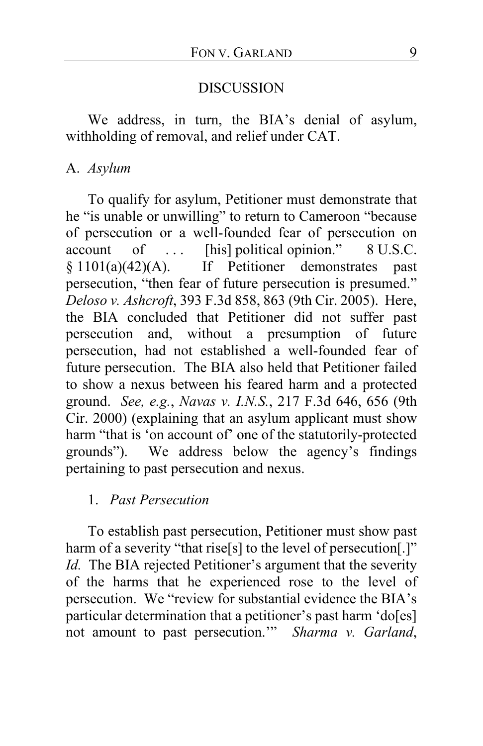## DISCUSSION

We address, in turn, the BIA's denial of asylum, withholding of removal, and relief under CAT.

## A. *Asylum*

To qualify for asylum, Petitioner must demonstrate that he "is unable or unwilling" to return to Cameroon "because of persecution or a well-founded fear of persecution on account of ... [his] political opinion." 8 U.S.C. § 1101(a)(42)(A). If Petitioner demonstrates past persecution, "then fear of future persecution is presumed." *Deloso v. Ashcroft*, 393 F.3d 858, 863 (9th Cir. 2005). Here, the BIA concluded that Petitioner did not suffer past persecution and, without a presumption of future persecution, had not established a well-founded fear of future persecution. The BIA also held that Petitioner failed to show a nexus between his feared harm and a protected ground. *See, e.g.*, *Navas v. I.N.S.*, 217 F.3d 646, 656 (9th Cir. 2000) (explaining that an asylum applicant must show harm "that is 'on account of' one of the statutorily-protected grounds"). We address below the agency's findings pertaining to past persecution and nexus.

# 1. *Past Persecution*

To establish past persecution, Petitioner must show past harm of a severity "that rise[s] to the level of persecution[.]" *Id.* The BIA rejected Petitioner's argument that the severity of the harms that he experienced rose to the level of persecution. We "review for substantial evidence the BIA's particular determination that a petitioner's past harm 'do[es] not amount to past persecution.'" *Sharma v. Garland*,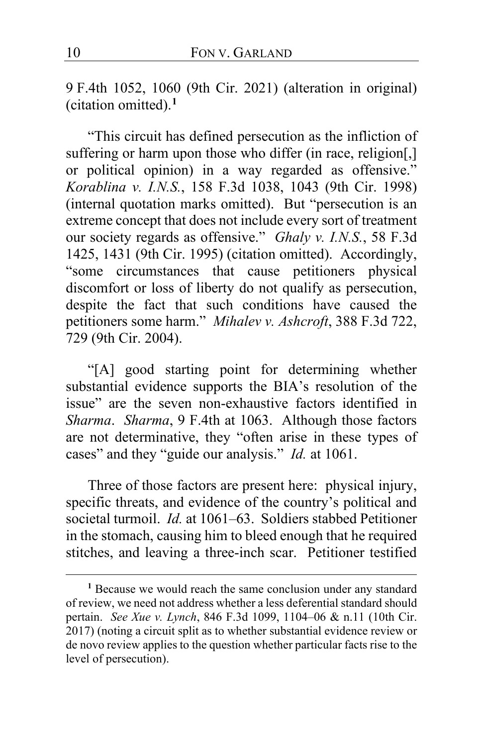9 F.4th 1052, 1060 (9th Cir. 2021) (alteration in original) (citation omitted).**[1](#page-9-0)**

"This circuit has defined persecution as the infliction of suffering or harm upon those who differ (in race, religion[,] or political opinion) in a way regarded as offensive." *Korablina v. I.N.S.*, 158 F.3d 1038, 1043 (9th Cir. 1998) (internal quotation marks omitted). But "persecution is an extreme concept that does not include every sort of treatment our society regards as offensive." *Ghaly v. I.N.S.*, 58 F.3d 1425, 1431 (9th Cir. 1995) (citation omitted). Accordingly, "some circumstances that cause petitioners physical discomfort or loss of liberty do not qualify as persecution, despite the fact that such conditions have caused the petitioners some harm." *Mihalev v. Ashcroft*, 388 F.3d 722, 729 (9th Cir. 2004).

"[A] good starting point for determining whether substantial evidence supports the BIA's resolution of the issue" are the seven non-exhaustive factors identified in *Sharma*. *Sharma*, 9 F.4th at 1063. Although those factors are not determinative, they "often arise in these types of cases" and they "guide our analysis." *Id.* at 1061.

Three of those factors are present here: physical injury, specific threats, and evidence of the country's political and societal turmoil. *Id.* at 1061–63. Soldiers stabbed Petitioner in the stomach, causing him to bleed enough that he required stitches, and leaving a three-inch scar. Petitioner testified

<span id="page-9-0"></span>**<sup>1</sup>** Because we would reach the same conclusion under any standard of review, we need not address whether a less deferential standard should pertain. *See Xue v. Lynch*, 846 F.3d 1099, 1104–06 & n.11 (10th Cir. 2017) (noting a circuit split as to whether substantial evidence review or de novo review applies to the question whether particular facts rise to the level of persecution).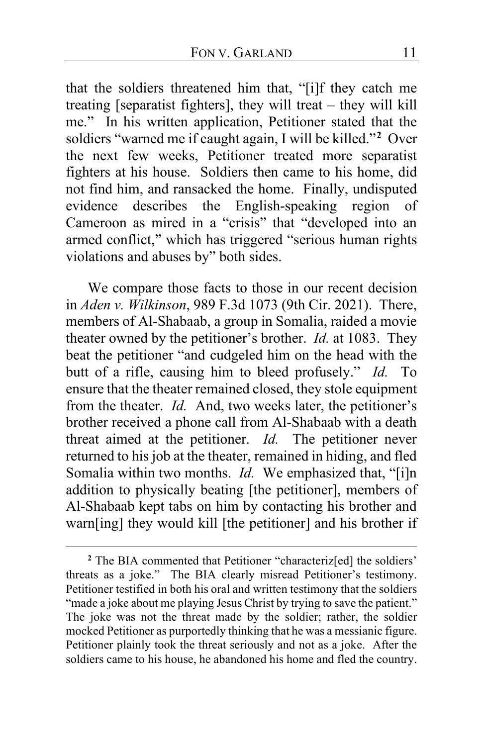that the soldiers threatened him that, "[i]f they catch me treating [separatist fighters], they will treat – they will kill me." In his written application, Petitioner stated that the soldiers "warned me if caught again, I will be killed."**[2](#page-10-0)** Over the next few weeks, Petitioner treated more separatist fighters at his house. Soldiers then came to his home, did not find him, and ransacked the home. Finally, undisputed evidence describes the English-speaking region of Cameroon as mired in a "crisis" that "developed into an armed conflict," which has triggered "serious human rights violations and abuses by" both sides.

We compare those facts to those in our recent decision in *Aden v. Wilkinson*, 989 F.3d 1073 (9th Cir. 2021). There, members of Al-Shabaab, a group in Somalia, raided a movie theater owned by the petitioner's brother. *Id.* at 1083. They beat the petitioner "and cudgeled him on the head with the butt of a rifle, causing him to bleed profusely." *Id.* To ensure that the theater remained closed, they stole equipment from the theater. *Id.* And, two weeks later, the petitioner's brother received a phone call from Al-Shabaab with a death threat aimed at the petitioner. *Id.* The petitioner never returned to his job at the theater, remained in hiding, and fled Somalia within two months. *Id.* We emphasized that, "[i]n addition to physically beating [the petitioner], members of Al-Shabaab kept tabs on him by contacting his brother and warn[ing] they would kill [the petitioner] and his brother if

<span id="page-10-0"></span><sup>&</sup>lt;sup>2</sup> The BIA commented that Petitioner "characteriz<sup>[ed]</sup> the soldiers' threats as a joke." The BIA clearly misread Petitioner's testimony. Petitioner testified in both his oral and written testimony that the soldiers "made a joke about me playing Jesus Christ by trying to save the patient." The joke was not the threat made by the soldier; rather, the soldier mocked Petitioner as purportedly thinking that he was a messianic figure. Petitioner plainly took the threat seriously and not as a joke. After the soldiers came to his house, he abandoned his home and fled the country.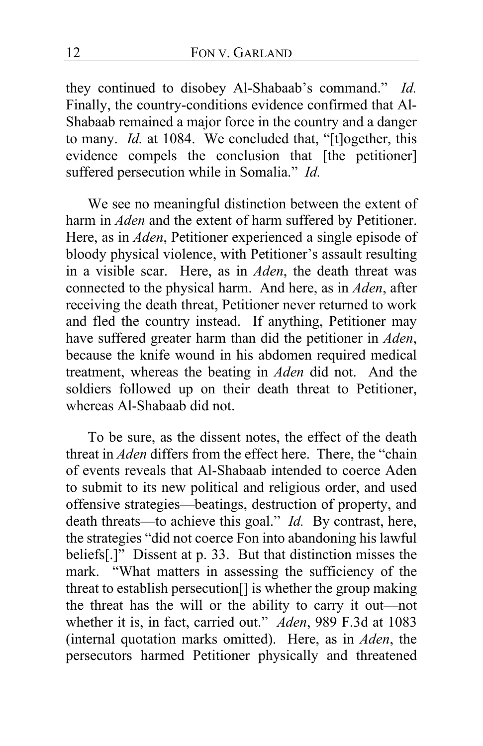they continued to disobey Al-Shabaab's command." *Id.* Finally, the country-conditions evidence confirmed that Al-Shabaab remained a major force in the country and a danger to many. *Id.* at 1084. We concluded that, "[t]ogether, this evidence compels the conclusion that [the petitioner] suffered persecution while in Somalia." *Id.*

We see no meaningful distinction between the extent of harm in *Aden* and the extent of harm suffered by Petitioner. Here, as in *Aden*, Petitioner experienced a single episode of bloody physical violence, with Petitioner's assault resulting in a visible scar. Here, as in *Aden*, the death threat was connected to the physical harm. And here, as in *Aden*, after receiving the death threat, Petitioner never returned to work and fled the country instead. If anything, Petitioner may have suffered greater harm than did the petitioner in *Aden*, because the knife wound in his abdomen required medical treatment, whereas the beating in *Aden* did not. And the soldiers followed up on their death threat to Petitioner, whereas Al-Shabaab did not.

To be sure, as the dissent notes, the effect of the death threat in *Aden* differs from the effect here. There, the "chain of events reveals that Al-Shabaab intended to coerce Aden to submit to its new political and religious order, and used offensive strategies—beatings, destruction of property, and death threats—to achieve this goal." *Id.* By contrast, here, the strategies "did not coerce Fon into abandoning his lawful beliefs[.]" Dissent at p. [33.](#page-32-0) But that distinction misses the mark. "What matters in assessing the sufficiency of the threat to establish persecution[] is whether the group making the threat has the will or the ability to carry it out—not whether it is, in fact, carried out." *Aden*, 989 F.3d at 1083 (internal quotation marks omitted). Here, as in *Aden*, the persecutors harmed Petitioner physically and threatened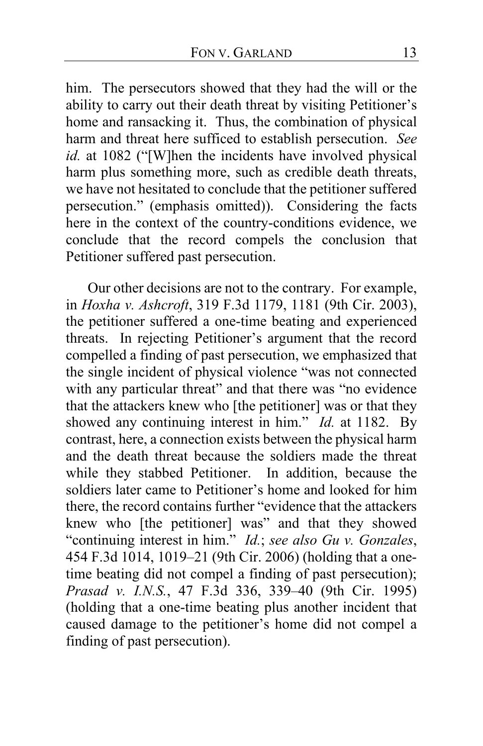him. The persecutors showed that they had the will or the ability to carry out their death threat by visiting Petitioner's home and ransacking it. Thus, the combination of physical harm and threat here sufficed to establish persecution. *See id.* at 1082 ("[W]hen the incidents have involved physical harm plus something more, such as credible death threats, we have not hesitated to conclude that the petitioner suffered persecution." (emphasis omitted)). Considering the facts here in the context of the country-conditions evidence, we conclude that the record compels the conclusion that Petitioner suffered past persecution.

<span id="page-12-0"></span>Our other decisions are not to the contrary. For example, in *Hoxha v. Ashcroft*, 319 F.3d 1179, 1181 (9th Cir. 2003), the petitioner suffered a one-time beating and experienced threats. In rejecting Petitioner's argument that the record compelled a finding of past persecution, we emphasized that the single incident of physical violence "was not connected with any particular threat" and that there was "no evidence that the attackers knew who [the petitioner] was or that they showed any continuing interest in him." *Id.* at 1182. By contrast, here, a connection exists between the physical harm and the death threat because the soldiers made the threat while they stabbed Petitioner. In addition, because the soldiers later came to Petitioner's home and looked for him there, the record contains further "evidence that the attackers knew who [the petitioner] was" and that they showed "continuing interest in him." *Id.*; *see also Gu v. Gonzales*, 454 F.3d 1014, 1019–21 (9th Cir. 2006) (holding that a onetime beating did not compel a finding of past persecution); *Prasad v. I.N.S.*, 47 F.3d 336, 339–40 (9th Cir. 1995) (holding that a one-time beating plus another incident that caused damage to the petitioner's home did not compel a finding of past persecution).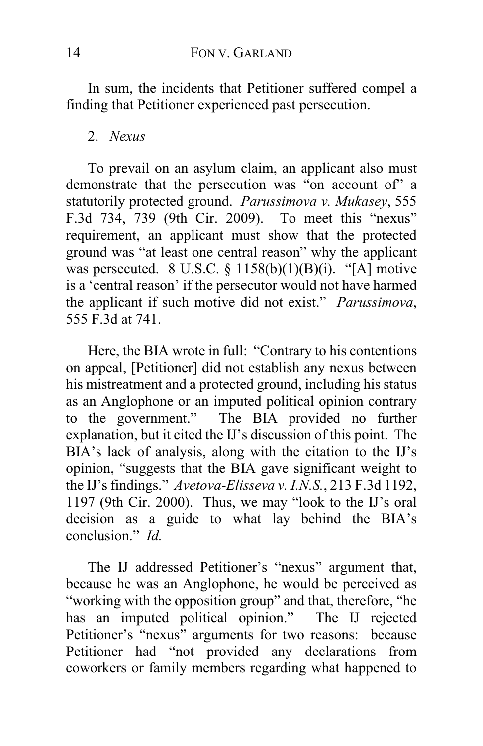In sum, the incidents that Petitioner suffered compel a finding that Petitioner experienced past persecution.

#### 2. *Nexus*

To prevail on an asylum claim, an applicant also must demonstrate that the persecution was "on account of" a statutorily protected ground. *Parussimova v. Mukasey*, 555 F.3d 734, 739 (9th Cir. 2009). To meet this "nexus" requirement, an applicant must show that the protected ground was "at least one central reason" why the applicant was persecuted. 8 U.S.C.  $\S$  1158(b)(1)(B)(i). "[A] motive is a 'central reason' if the persecutor would not have harmed the applicant if such motive did not exist." *Parussimova*, 555 F.3d at 741.

Here, the BIA wrote in full: "Contrary to his contentions on appeal, [Petitioner] did not establish any nexus between his mistreatment and a protected ground, including his status as an Anglophone or an imputed political opinion contrary to the government." The BIA provided no further explanation, but it cited the IJ's discussion of this point. The BIA's lack of analysis, along with the citation to the IJ's opinion, "suggests that the BIA gave significant weight to the IJ's findings." *Avetova-Elisseva v. I.N.S.*, 213 F.3d 1192, 1197 (9th Cir. 2000). Thus, we may "look to the IJ's oral decision as a guide to what lay behind the BIA's conclusion." *Id.*

The IJ addressed Petitioner's "nexus" argument that, because he was an Anglophone, he would be perceived as "working with the opposition group" and that, therefore, "he has an imputed political opinion." The IJ rejected Petitioner's "nexus" arguments for two reasons: because Petitioner had "not provided any declarations from coworkers or family members regarding what happened to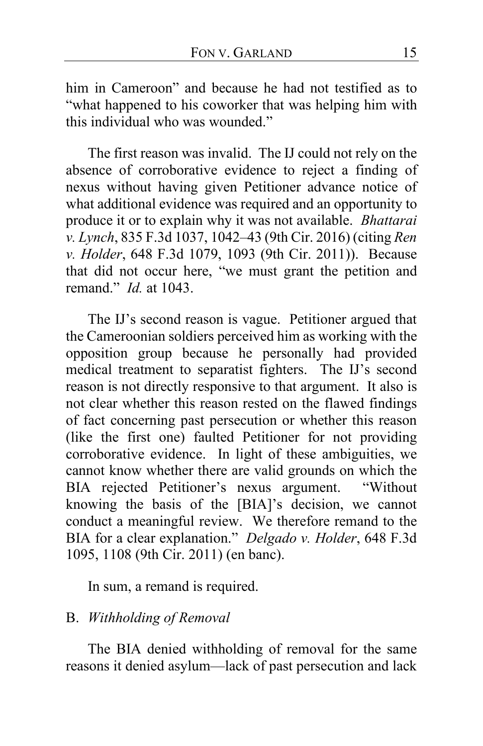him in Cameroon" and because he had not testified as to "what happened to his coworker that was helping him with this individual who was wounded."

The first reason was invalid. The IJ could not rely on the absence of corroborative evidence to reject a finding of nexus without having given Petitioner advance notice of what additional evidence was required and an opportunity to produce it or to explain why it was not available. *Bhattarai v. Lynch*, 835 F.3d 1037, 1042–43 (9th Cir. 2016) (citing *Ren v. Holder*, 648 F.3d 1079, 1093 (9th Cir. 2011)). Because that did not occur here, "we must grant the petition and remand." *Id.* at 1043.

The IJ's second reason is vague. Petitioner argued that the Cameroonian soldiers perceived him as working with the opposition group because he personally had provided medical treatment to separatist fighters. The IJ's second reason is not directly responsive to that argument. It also is not clear whether this reason rested on the flawed findings of fact concerning past persecution or whether this reason (like the first one) faulted Petitioner for not providing corroborative evidence. In light of these ambiguities, we cannot know whether there are valid grounds on which the BIA rejected Petitioner's nexus argument. "Without knowing the basis of the [BIA]'s decision, we cannot conduct a meaningful review. We therefore remand to the BIA for a clear explanation." *Delgado v. Holder*, 648 F.3d 1095, 1108 (9th Cir. 2011) (en banc).

In sum, a remand is required.

## B. *Withholding of Removal*

The BIA denied withholding of removal for the same reasons it denied asylum—lack of past persecution and lack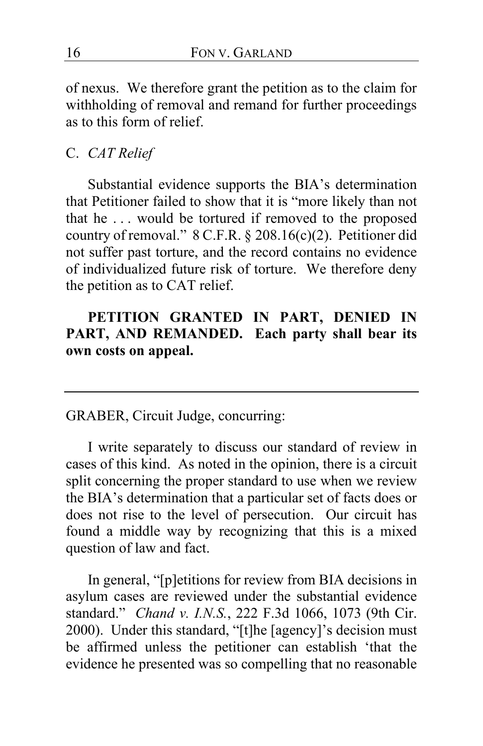of nexus. We therefore grant the petition as to the claim for withholding of removal and remand for further proceedings as to this form of relief.

## C. *CAT Relief*

Substantial evidence supports the BIA's determination that Petitioner failed to show that it is "more likely than not that he . . . would be tortured if removed to the proposed country of removal." 8 C.F.R. § 208.16(c)(2). Petitioner did not suffer past torture, and the record contains no evidence of individualized future risk of torture. We therefore deny the petition as to CAT relief.

**PETITION GRANTED IN PART, DENIED IN PART, AND REMANDED. Each party shall bear its own costs on appeal.**

GRABER, Circuit Judge, concurring:

<span id="page-15-0"></span>I write separately to discuss our standard of review in cases of this kind. As noted in the opinion, there is a circuit split concerning the proper standard to use when we review the BIA's determination that a particular set of facts does or does not rise to the level of persecution. Our circuit has found a middle way by recognizing that this is a mixed question of law and fact.

In general, "[p]etitions for review from BIA decisions in asylum cases are reviewed under the substantial evidence standard." *Chand v. I.N.S.*, 222 F.3d 1066, 1073 (9th Cir. 2000). Under this standard, "[t]he [agency]'s decision must be affirmed unless the petitioner can establish 'that the evidence he presented was so compelling that no reasonable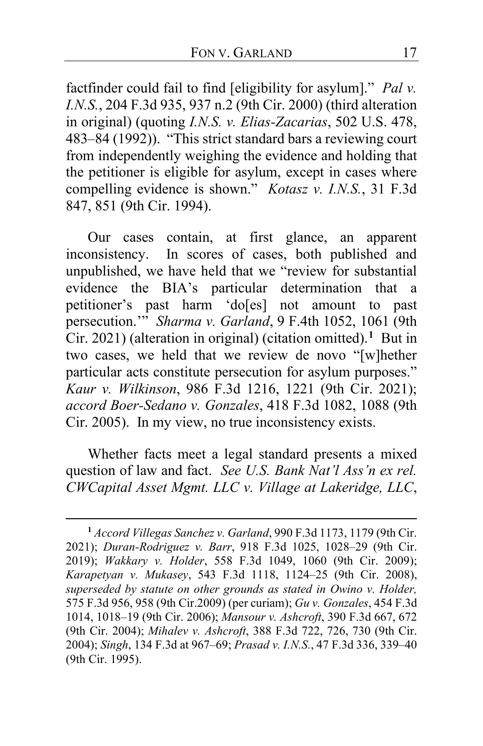factfinder could fail to find [eligibility for asylum]." *Pal v. I.N.S.*, 204 F.3d 935, 937 n.2 (9th Cir. 2000) (third alteration in original) (quoting *I.N.S. v. Elias-Zacarias*, 502 U.S. 478, 483–84 (1992)). "This strict standard bars a reviewing court from independently weighing the evidence and holding that the petitioner is eligible for asylum, except in cases where compelling evidence is shown." *Kotasz v. I.N.S.*, 31 F.3d 847, 851 (9th Cir. 1994).

<span id="page-16-2"></span>Our cases contain, at first glance, an apparent inconsistency. In scores of cases, both published and unpublished, we have held that we "review for substantial evidence the BIA's particular determination that a petitioner's past harm 'do[es] not amount to past persecution.'" *Sharma v. Garland*, 9 F.4th 1052, 1061 (9th Cir. 2021) (alteration in original) (citation omitted).**[1](#page-16-0)** But in two cases, we held that we review de novo "[w]hether particular acts constitute persecution for asylum purposes." *Kaur v. Wilkinson*, 986 F.3d 1216, 1221 (9th Cir. 2021); *accord Boer-Sedano v. Gonzales*, 418 F.3d 1082, 1088 (9th Cir. 2005). In my view, no true inconsistency exists.

<span id="page-16-1"></span>Whether facts meet a legal standard presents a mixed question of law and fact. *See U.S. Bank Nat'l Ass'n ex rel. CWCapital Asset Mgmt. LLC v. Village at Lakeridge, LLC*,

<span id="page-16-0"></span>**<sup>1</sup>** *Accord Villegas Sanchez v. Garland*, 990 F.3d 1173, 1179 (9th Cir. 2021); *Duran-Rodriguez v. Barr*, 918 F.3d 1025, 1028–29 (9th Cir. 2019); *Wakkary v. Holder*, 558 F.3d 1049, 1060 (9th Cir. 2009); *Karapetyan v. Mukasey*, 543 F.3d 1118, 1124–25 (9th Cir. 2008), *superseded by statute on other grounds as stated in Owino v. Holder,* 575 F.3d 956, 958 (9th Cir.2009) (per curiam); *Gu v. Gonzales*, 454 F.3d 1014, 1018–19 (9th Cir. 2006); *Mansour v. Ashcroft*, 390 F.3d 667, 672 (9th Cir. 2004); *Mihalev v. Ashcroft*, 388 F.3d 722, 726, 730 (9th Cir. 2004); *Singh*, 134 F.3d at 967–69; *Prasad v. I.N.S.*, 47 F.3d 336, 339–40 (9th Cir. 1995).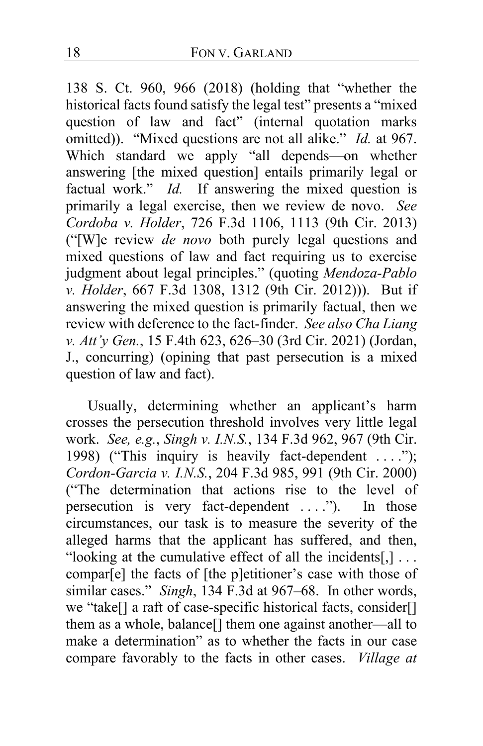138 S. Ct. 960, 966 (2018) (holding that "whether the historical facts found satisfy the legal test" presents a "mixed question of law and fact" (internal quotation marks omitted)). "Mixed questions are not all alike." *Id.* at 967. Which standard we apply "all depends—on whether answering [the mixed question] entails primarily legal or factual work." *Id.* If answering the mixed question is primarily a legal exercise, then we review de novo. *See Cordoba v. Holder*, 726 F.3d 1106, 1113 (9th Cir. 2013) ("[W]e review *de novo* both purely legal questions and mixed questions of law and fact requiring us to exercise judgment about legal principles." (quoting *Mendoza-Pablo v. Holder*, 667 F.3d 1308, 1312 (9th Cir. 2012))). But if answering the mixed question is primarily factual, then we review with deference to the fact-finder. *See also Cha Liang v. Att'y Gen.*, 15 F.4th 623, 626–30 (3rd Cir. 2021) (Jordan, J., concurring) (opining that past persecution is a mixed question of law and fact).

<span id="page-17-0"></span>Usually, determining whether an applicant's harm crosses the persecution threshold involves very little legal work. *See, e.g.*, *Singh v. I.N.S.*, 134 F.3d 962, 967 (9th Cir. 1998) ("This inquiry is heavily fact-dependent ...."); *Cordon-Garcia v. I.N.S.*, 204 F.3d 985, 991 (9th Cir. 2000) ("The determination that actions rise to the level of persecution is very fact-dependent . . . ."). In those circumstances, our task is to measure the severity of the alleged harms that the applicant has suffered, and then, "looking at the cumulative effect of all the incidents[,]  $\dots$ compar[e] the facts of [the p]etitioner's case with those of similar cases." *Singh*, 134 F.3d at 967–68. In other words, we "take[] a raft of case-specific historical facts, consider[] them as a whole, balance[] them one against another—all to make a determination" as to whether the facts in our case compare favorably to the facts in other cases. *Village at*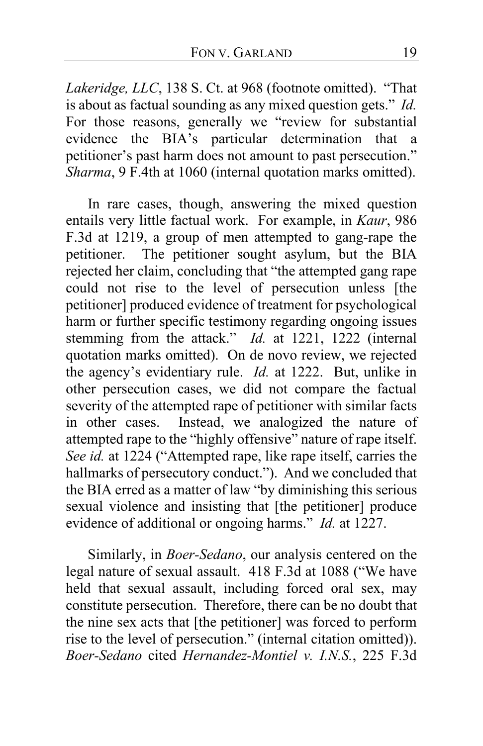*Lakeridge, LLC*, 138 S. Ct. at 968 (footnote omitted). "That is about as factual sounding as any mixed question gets." *Id.* For those reasons, generally we "review for substantial evidence the BIA's particular determination that a petitioner's past harm does not amount to past persecution." *Sharma*, 9 F.4th at 1060 (internal quotation marks omitted).

<span id="page-18-1"></span><span id="page-18-0"></span>In rare cases, though, answering the mixed question entails very little factual work. For example, in *Kaur*, 986 F.3d at 1219, a group of men attempted to gang-rape the petitioner. The petitioner sought asylum, but the BIA rejected her claim, concluding that "the attempted gang rape could not rise to the level of persecution unless [the petitioner] produced evidence of treatment for psychological harm or further specific testimony regarding ongoing issues stemming from the attack." *Id.* at 1221, 1222 (internal quotation marks omitted). On de novo review, we rejected the agency's evidentiary rule. *Id.* at 1222. But, unlike in other persecution cases, we did not compare the factual severity of the attempted rape of petitioner with similar facts in other cases. Instead, we analogized the nature of attempted rape to the "highly offensive" nature of rape itself. *See id.* at 1224 ("Attempted rape, like rape itself, carries the hallmarks of persecutory conduct."). And we concluded that the BIA erred as a matter of law "by diminishing this serious sexual violence and insisting that [the petitioner] produce evidence of additional or ongoing harms." *Id.* at 1227.

Similarly, in *Boer-Sedano*, our analysis centered on the legal nature of sexual assault. 418 F.3d at 1088 ("We have held that sexual assault, including forced oral sex, may constitute persecution. Therefore, there can be no doubt that the nine sex acts that [the petitioner] was forced to perform rise to the level of persecution." (internal citation omitted)). *Boer-Sedano* cited *Hernandez-Montiel v. I.N.S.*, 225 F.3d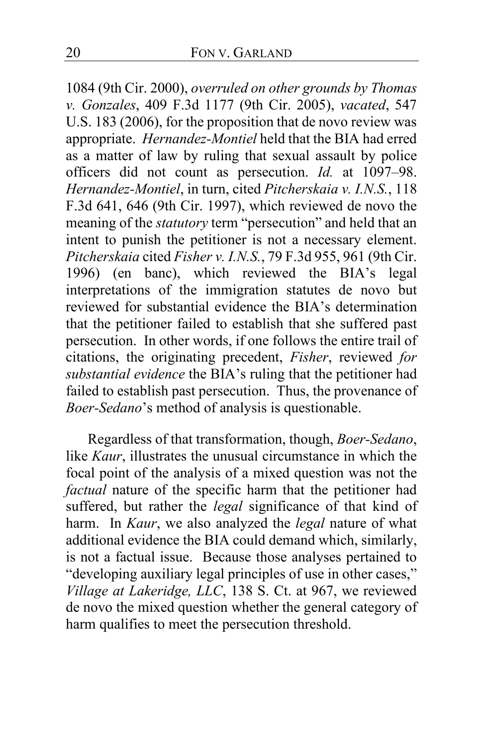1084 (9th Cir. 2000), *overruled on other grounds by Thomas v. Gonzales*, 409 F.3d 1177 (9th Cir. 2005), *vacated*, 547 U.S. 183 (2006), for the proposition that de novo review was appropriate. *Hernandez-Montiel* held that the BIA had erred as a matter of law by ruling that sexual assault by police officers did not count as persecution. *Id.* at 1097–98. *Hernandez-Montiel*, in turn, cited *Pitcherskaia v. I.N.S.*, 118 F.3d 641, 646 (9th Cir. 1997), which reviewed de novo the meaning of the *statutory* term "persecution" and held that an intent to punish the petitioner is not a necessary element. *Pitcherskaia* cited *Fisher v. I.N.S.*, 79 F.3d 955, 961 (9th Cir. 1996) (en banc), which reviewed the BIA's legal interpretations of the immigration statutes de novo but reviewed for substantial evidence the BIA's determination that the petitioner failed to establish that she suffered past persecution. In other words, if one follows the entire trail of citations, the originating precedent, *Fisher*, reviewed *for substantial evidence* the BIA's ruling that the petitioner had failed to establish past persecution. Thus, the provenance of *Boer-Sedano*'s method of analysis is questionable.

<span id="page-19-0"></span>Regardless of that transformation, though, *Boer-Sedano*, like *Kaur*, illustrates the unusual circumstance in which the focal point of the analysis of a mixed question was not the *factual* nature of the specific harm that the petitioner had suffered, but rather the *legal* significance of that kind of harm. In *Kaur*, we also analyzed the *legal* nature of what additional evidence the BIA could demand which, similarly, is not a factual issue. Because those analyses pertained to "developing auxiliary legal principles of use in other cases," *Village at Lakeridge, LLC*, 138 S. Ct. at 967, we reviewed de novo the mixed question whether the general category of harm qualifies to meet the persecution threshold.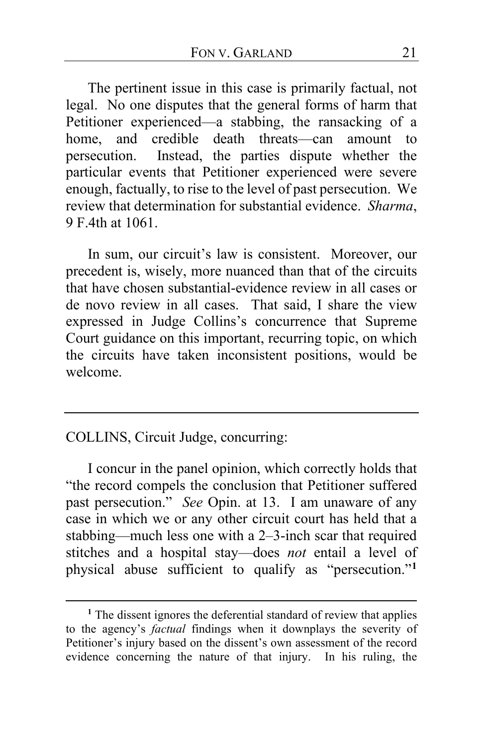The pertinent issue in this case is primarily factual, not legal. No one disputes that the general forms of harm that Petitioner experienced—a stabbing, the ransacking of a home, and credible death threats—can amount to persecution. Instead, the parties dispute whether the particular events that Petitioner experienced were severe enough, factually, to rise to the level of past persecution. We review that determination for substantial evidence. *Sharma*, 9 F.4th at 1061.

In sum, our circuit's law is consistent. Moreover, our precedent is, wisely, more nuanced than that of the circuits that have chosen substantial-evidence review in all cases or de novo review in all cases. That said, I share the view expressed in Judge Collins's concurrence that Supreme Court guidance on this important, recurring topic, on which the circuits have taken inconsistent positions, would be welcome.

#### COLLINS, Circuit Judge, concurring:

I concur in the panel opinion, which correctly holds that "the record compels the conclusion that Petitioner suffered past persecution." *See* Opin. at [13.](#page-12-0) I am unaware of any case in which we or any other circuit court has held that a stabbing—much less one with a 2–3-inch scar that required stitches and a hospital stay—does *not* entail a level of physical abuse sufficient to qualify as "persecution."**[1](#page-20-0)**

<span id="page-20-0"></span><sup>&</sup>lt;sup>1</sup> The dissent ignores the deferential standard of review that applies to the agency's *factual* findings when it downplays the severity of Petitioner's injury based on the dissent's own assessment of the record evidence concerning the nature of that injury. In his ruling, the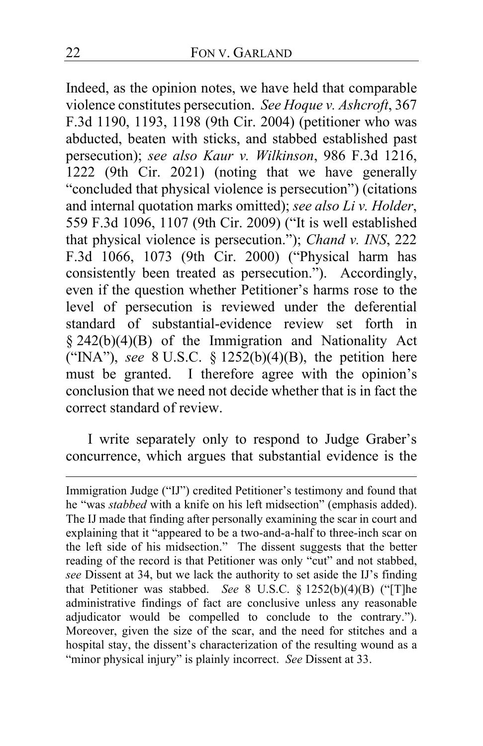Indeed, as the opinion notes, we have held that comparable violence constitutes persecution. *See Hoque v. Ashcroft*, 367 F.3d 1190, 1193, 1198 (9th Cir. 2004) (petitioner who was abducted, beaten with sticks, and stabbed established past persecution); *see also Kaur v. Wilkinson*, 986 F.3d 1216, 1222 (9th Cir. 2021) (noting that we have generally "concluded that physical violence is persecution") (citations and internal quotation marks omitted); *see also Li v. Holder*, 559 F.3d 1096, 1107 (9th Cir. 2009) ("It is well established that physical violence is persecution."); *Chand v. INS*, 222 F.3d 1066, 1073 (9th Cir. 2000) ("Physical harm has consistently been treated as persecution."). Accordingly, even if the question whether Petitioner's harms rose to the level of persecution is reviewed under the deferential standard of substantial-evidence review set forth in § 242(b)(4)(B) of the Immigration and Nationality Act ("INA"), *see* 8 U.S.C. § 1252(b)(4)(B), the petition here must be granted. I therefore agree with the opinion's conclusion that we need not decide whether that is in fact the correct standard of review.

<span id="page-21-0"></span>I write separately only to respond to Judge Graber's concurrence, which argues that substantial evidence is the

Immigration Judge ("IJ") credited Petitioner's testimony and found that he "was *stabbed* with a knife on his left midsection" (emphasis added). The IJ made that finding after personally examining the scar in court and explaining that it "appeared to be a two-and-a-half to three-inch scar on the left side of his midsection." The dissent suggests that the better reading of the record is that Petitioner was only "cut" and not stabbed, *see* Dissent at [34,](#page-33-0) but we lack the authority to set aside the IJ's finding that Petitioner was stabbed. *See* 8 U.S.C. § 1252(b)(4)(B) ("[T]he administrative findings of fact are conclusive unless any reasonable adjudicator would be compelled to conclude to the contrary."). Moreover, given the size of the scar, and the need for stitches and a hospital stay, the dissent's characterization of the resulting wound as a "minor physical injury" is plainly incorrect. *See* Dissent a[t 33.](#page-32-1)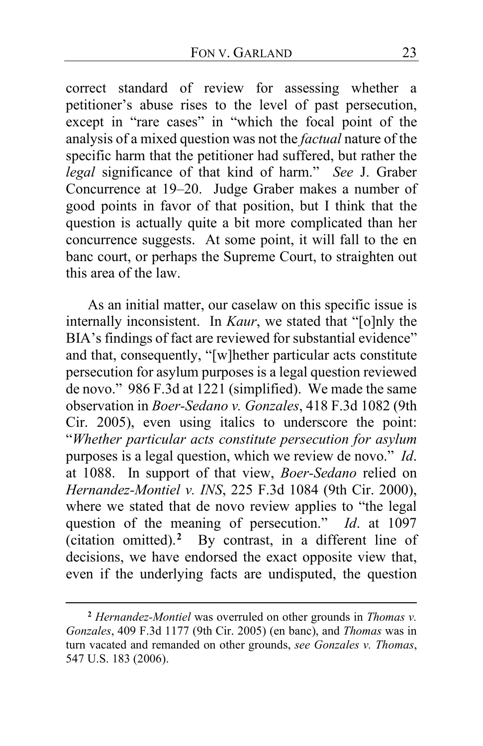correct standard of review for assessing whether a petitioner's abuse rises to the level of past persecution, except in "rare cases" in "which the focal point of the analysis of a mixed question was not the *factual* nature of the specific harm that the petitioner had suffered, but rather the *legal* significance of that kind of harm." *See* J. Graber Concurrence at [19–](#page-18-0)[20.](#page-19-0) Judge Graber makes a number of good points in favor of that position, but I think that the question is actually quite a bit more complicated than her concurrence suggests. At some point, it will fall to the en banc court, or perhaps the Supreme Court, to straighten out this area of the law.

<span id="page-22-1"></span>As an initial matter, our caselaw on this specific issue is internally inconsistent. In *Kaur*, we stated that "[o]nly the BIA's findings of fact are reviewed for substantial evidence" and that, consequently, "[w]hether particular acts constitute persecution for asylum purposes is a legal question reviewed de novo." 986 F.3d at 1221 (simplified). We made the same observation in *Boer-Sedano v. Gonzales*, 418 F.3d 1082 (9th Cir. 2005), even using italics to underscore the point: "*Whether particular acts constitute persecution for asylum* purposes is a legal question, which we review de novo." *Id*. at 1088. In support of that view, *Boer-Sedano* relied on *Hernandez-Montiel v. INS*, 225 F.3d 1084 (9th Cir. 2000), where we stated that de novo review applies to "the legal question of the meaning of persecution." *Id*. at 1097 (citation omitted).**[2](#page-22-0)** By contrast, in a different line of decisions, we have endorsed the exact opposite view that, even if the underlying facts are undisputed, the question

<span id="page-22-0"></span>**<sup>2</sup>** *Hernandez-Montiel* was overruled on other grounds in *Thomas v. Gonzales*, 409 F.3d 1177 (9th Cir. 2005) (en banc), and *Thomas* was in turn vacated and remanded on other grounds, *see Gonzales v. Thomas*, 547 U.S. 183 (2006).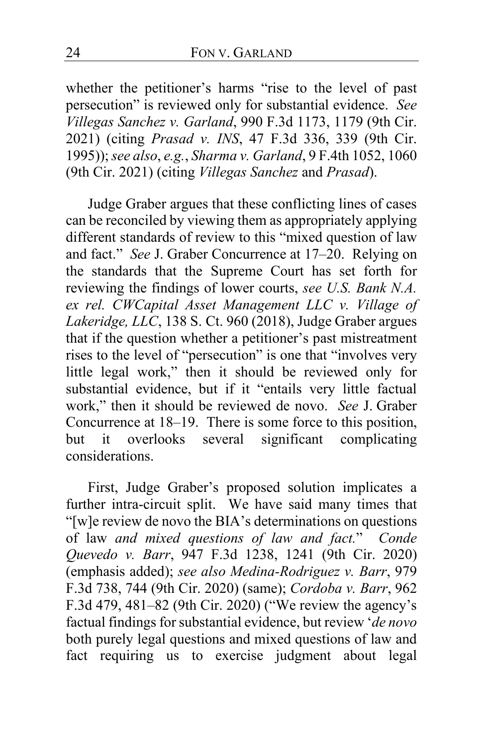whether the petitioner's harms "rise to the level of past persecution" is reviewed only for substantial evidence. *See Villegas Sanchez v. Garland*, 990 F.3d 1173, 1179 (9th Cir. 2021) (citing *Prasad v. INS*, 47 F.3d 336, 339 (9th Cir. 1995)); *see also*, *e.g.*, *Sharma v. Garland*, 9 F.4th 1052, 1060 (9th Cir. 2021) (citing *Villegas Sanchez* and *Prasad*).

Judge Graber argues that these conflicting lines of cases can be reconciled by viewing them as appropriately applying different standards of review to this "mixed question of law and fact." *See* J. Graber Concurrence at [17–](#page-16-1)[20.](#page-19-0) Relying on the standards that the Supreme Court has set forth for reviewing the findings of lower courts, *see U.S. Bank N.A. ex rel. CWCapital Asset Management LLC v. Village of Lakeridge, LLC*, 138 S. Ct. 960 (2018), Judge Graber argues that if the question whether a petitioner's past mistreatment rises to the level of "persecution" is one that "involves very little legal work," then it should be reviewed only for substantial evidence, but if it "entails very little factual work," then it should be reviewed de novo. *See* J. Graber Concurrence at [18](#page-17-0)[–19.](#page-18-1) There is some force to this position, but it overlooks several significant complicating considerations.

First, Judge Graber's proposed solution implicates a further intra-circuit split. We have said many times that "[w]e review de novo the BIA's determinations on questions of law *and mixed questions of law and fact.*" *Conde Quevedo v. Barr*, 947 F.3d 1238, 1241 (9th Cir. 2020) (emphasis added); *see also Medina-Rodriguez v. Barr*, 979 F.3d 738, 744 (9th Cir. 2020) (same); *Cordoba v. Barr*, 962 F.3d 479, 481–82 (9th Cir. 2020) ("We review the agency's factual findings for substantial evidence, but review '*de novo* both purely legal questions and mixed questions of law and fact requiring us to exercise judgment about legal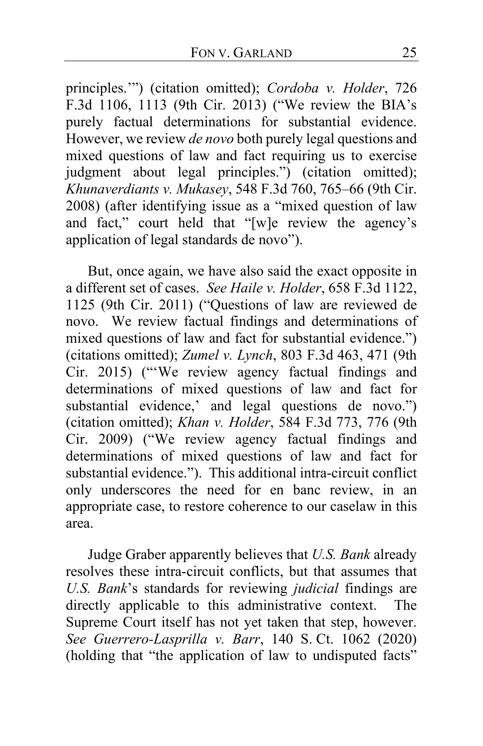principles.'") (citation omitted); *Cordoba v. Holder*, 726 F.3d 1106, 1113 (9th Cir. 2013) ("We review the BIA's purely factual determinations for substantial evidence. However, we review *de novo* both purely legal questions and mixed questions of law and fact requiring us to exercise judgment about legal principles.") (citation omitted); *Khunaverdiants v. Mukasey*, 548 F.3d 760, 765–66 (9th Cir. 2008) (after identifying issue as a "mixed question of law and fact," court held that "[w]e review the agency's application of legal standards de novo").

But, once again, we have also said the exact opposite in a different set of cases. *See Haile v. Holder*, 658 F.3d 1122, 1125 (9th Cir. 2011) ("Questions of law are reviewed de novo. We review factual findings and determinations of mixed questions of law and fact for substantial evidence.") (citations omitted); *Zumel v. Lynch*, 803 F.3d 463, 471 (9th Cir. 2015) ("'We review agency factual findings and determinations of mixed questions of law and fact for substantial evidence,' and legal questions de novo.") (citation omitted); *Khan v. Holder*, 584 F.3d 773, 776 (9th Cir. 2009) ("We review agency factual findings and determinations of mixed questions of law and fact for substantial evidence."). This additional intra-circuit conflict only underscores the need for en banc review, in an appropriate case, to restore coherence to our caselaw in this area.

Judge Graber apparently believes that *U.S. Bank* already resolves these intra-circuit conflicts, but that assumes that *U.S. Bank*'s standards for reviewing *judicial* findings are directly applicable to this administrative context. The Supreme Court itself has not yet taken that step, however. *See Guerrero-Lasprilla v. Barr*, 140 S. Ct. 1062 (2020) (holding that "the application of law to undisputed facts"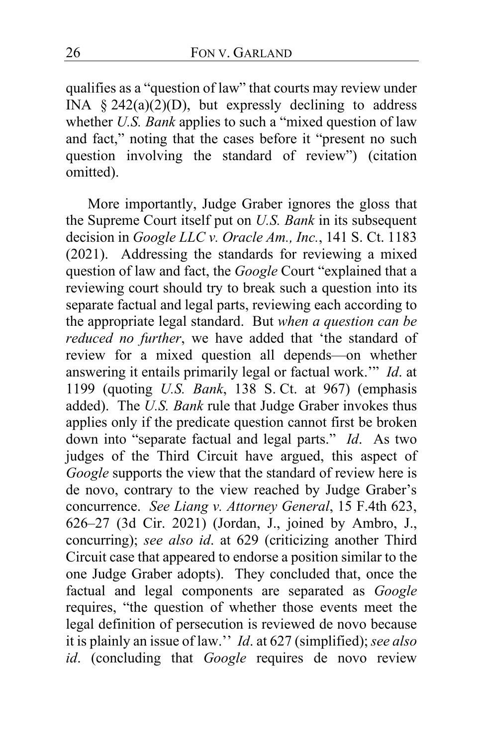qualifies as a "question of law" that courts may review under INA  $\S 242(a)(2)(D)$ , but expressly declining to address whether *U.S. Bank* applies to such a "mixed question of law and fact," noting that the cases before it "present no such question involving the standard of review") (citation omitted).

More importantly, Judge Graber ignores the gloss that the Supreme Court itself put on *U.S. Bank* in its subsequent decision in *Google LLC v. Oracle Am., Inc.*, 141 S. Ct. 1183 (2021). Addressing the standards for reviewing a mixed question of law and fact, the *Google* Court "explained that a reviewing court should try to break such a question into its separate factual and legal parts, reviewing each according to the appropriate legal standard. But *when a question can be reduced no further*, we have added that 'the standard of review for a mixed question all depends—on whether answering it entails primarily legal or factual work.'" *Id*. at 1199 (quoting *U.S. Bank*, 138 S. Ct. at 967) (emphasis added). The *U.S. Bank* rule that Judge Graber invokes thus applies only if the predicate question cannot first be broken down into "separate factual and legal parts." *Id*. As two judges of the Third Circuit have argued, this aspect of *Google* supports the view that the standard of review here is de novo, contrary to the view reached by Judge Graber's concurrence. *See Liang v. Attorney General*, 15 F.4th 623, 626–27 (3d Cir. 2021) (Jordan, J., joined by Ambro, J., concurring); *see also id*. at 629 (criticizing another Third Circuit case that appeared to endorse a position similar to the one Judge Graber adopts). They concluded that, once the factual and legal components are separated as *Google* requires, "the question of whether those events meet the legal definition of persecution is reviewed de novo because it is plainly an issue of law.'' *Id*. at 627 (simplified); *see also id*. (concluding that *Google* requires de novo review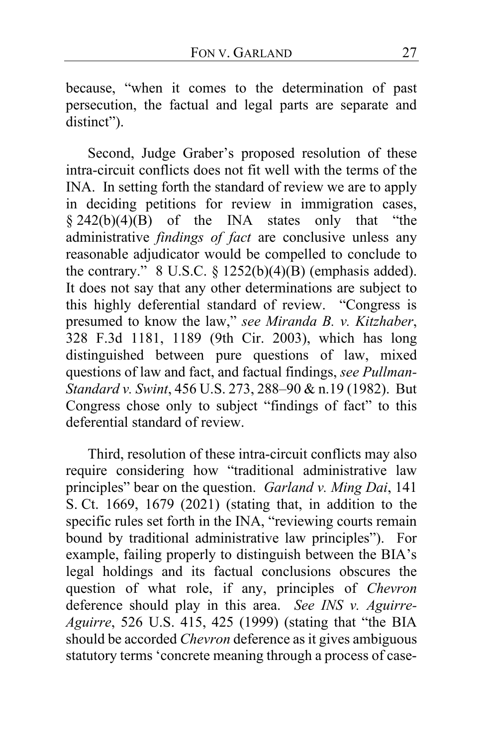because, "when it comes to the determination of past persecution, the factual and legal parts are separate and distinct").

Second, Judge Graber's proposed resolution of these intra-circuit conflicts does not fit well with the terms of the INA. In setting forth the standard of review we are to apply in deciding petitions for review in immigration cases,  $§$  242(b)(4)(B) of the INA states only that "the administrative *findings of fact* are conclusive unless any reasonable adjudicator would be compelled to conclude to the contrary."  $8 \text{ U.S.C. } \frac{6}{9} \frac{1252(b)(4)(B)}{2}$  (emphasis added). It does not say that any other determinations are subject to this highly deferential standard of review. "Congress is presumed to know the law," *see Miranda B. v. Kitzhaber*, 328 F.3d 1181, 1189 (9th Cir. 2003), which has long distinguished between pure questions of law, mixed questions of law and fact, and factual findings, *see Pullman-Standard v. Swint*, 456 U.S. 273, 288–90 & n.19 (1982). But Congress chose only to subject "findings of fact" to this deferential standard of review.

Third, resolution of these intra-circuit conflicts may also require considering how "traditional administrative law principles" bear on the question. *Garland v. Ming Dai*, 141 S. Ct. 1669, 1679 (2021) (stating that, in addition to the specific rules set forth in the INA, "reviewing courts remain bound by traditional administrative law principles"). For example, failing properly to distinguish between the BIA's legal holdings and its factual conclusions obscures the question of what role, if any, principles of *Chevron* deference should play in this area. *See INS v. Aguirre-Aguirre*, 526 U.S. 415, 425 (1999) (stating that "the BIA should be accorded *Chevron* deference as it gives ambiguous statutory terms 'concrete meaning through a process of case-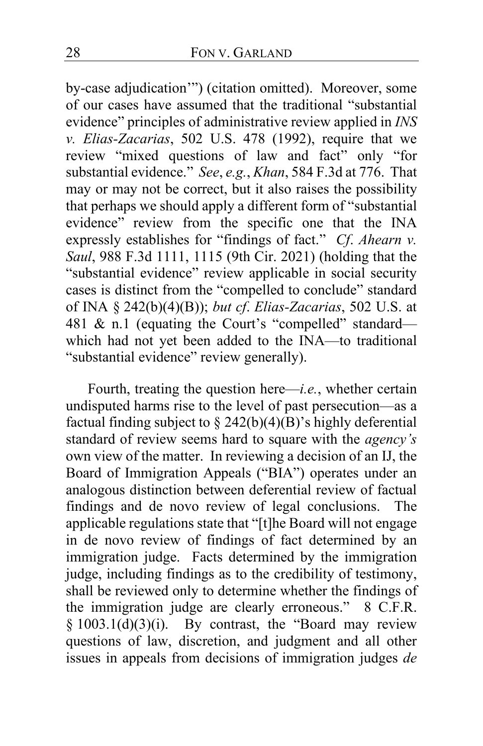by-case adjudication'") (citation omitted). Moreover, some of our cases have assumed that the traditional "substantial evidence" principles of administrative review applied in *INS v. Elias-Zacarias*, 502 U.S. 478 (1992), require that we review "mixed questions of law and fact" only "for substantial evidence." *See*, *e.g.*, *Khan*, 584 F.3d at 776. That may or may not be correct, but it also raises the possibility that perhaps we should apply a different form of "substantial evidence" review from the specific one that the INA expressly establishes for "findings of fact." *Cf*. *Ahearn v. Saul*, 988 F.3d 1111, 1115 (9th Cir. 2021) (holding that the "substantial evidence" review applicable in social security cases is distinct from the "compelled to conclude" standard of INA § 242(b)(4)(B)); *but cf*. *Elias-Zacarias*, 502 U.S. at 481 & n.1 (equating the Court's "compelled" standard which had not yet been added to the INA—to traditional "substantial evidence" review generally).

Fourth, treating the question here—*i.e.*, whether certain undisputed harms rise to the level of past persecution—as a factual finding subject to  $\S$  242(b)(4)(B)'s highly deferential standard of review seems hard to square with the *agency's* own view of the matter. In reviewing a decision of an IJ, the Board of Immigration Appeals ("BIA") operates under an analogous distinction between deferential review of factual findings and de novo review of legal conclusions. The applicable regulations state that "[t]he Board will not engage in de novo review of findings of fact determined by an immigration judge. Facts determined by the immigration judge, including findings as to the credibility of testimony, shall be reviewed only to determine whether the findings of the immigration judge are clearly erroneous." 8 C.F.R.  $§ 1003.1(d)(3)(i)$ . By contrast, the "Board may review questions of law, discretion, and judgment and all other issues in appeals from decisions of immigration judges *de*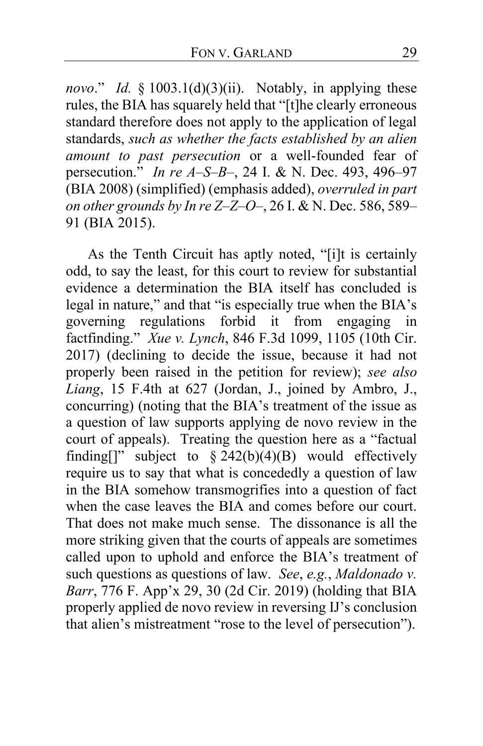*novo*." *Id.* § 1003.1(d)(3)(ii). Notably, in applying these rules, the BIA has squarely held that "[t]he clearly erroneous standard therefore does not apply to the application of legal standards, *such as whether the facts established by an alien amount to past persecution* or a well-founded fear of persecution." *In re A–S–B–*, 24 I. & N. Dec. 493, 496–97 (BIA 2008) (simplified) (emphasis added), *overruled in part on other grounds by In re Z–Z–O–*, 26 I. & N. Dec. 586, 589– 91 (BIA 2015).

As the Tenth Circuit has aptly noted, "[i]t is certainly odd, to say the least, for this court to review for substantial evidence a determination the BIA itself has concluded is legal in nature," and that "is especially true when the BIA's governing regulations forbid it from engaging in factfinding." *Xue v. Lynch*, 846 F.3d 1099, 1105 (10th Cir. 2017) (declining to decide the issue, because it had not properly been raised in the petition for review); *see also Liang*, 15 F.4th at 627 (Jordan, J., joined by Ambro, J., concurring) (noting that the BIA's treatment of the issue as a question of law supports applying de novo review in the court of appeals). Treating the question here as a "factual finding[]" subject to  $\S$  242(b)(4)(B) would effectively require us to say that what is concededly a question of law in the BIA somehow transmogrifies into a question of fact when the case leaves the BIA and comes before our court. That does not make much sense. The dissonance is all the more striking given that the courts of appeals are sometimes called upon to uphold and enforce the BIA's treatment of such questions as questions of law. *See*, *e.g.*, *Maldonado v. Barr*, 776 F. App'x 29, 30 (2d Cir. 2019) (holding that BIA properly applied de novo review in reversing IJ's conclusion that alien's mistreatment "rose to the level of persecution").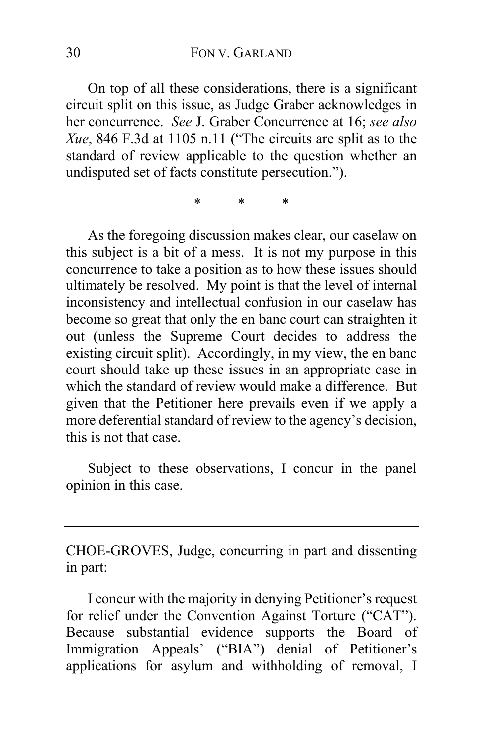On top of all these considerations, there is a significant circuit split on this issue, as Judge Graber acknowledges in her concurrence. *See* J. Graber Concurrence at [16;](#page-15-0) *see also Xue*, 846 F.3d at 1105 n.11 ("The circuits are split as to the standard of review applicable to the question whether an undisputed set of facts constitute persecution.").

\* \* \*

As the foregoing discussion makes clear, our caselaw on this subject is a bit of a mess. It is not my purpose in this concurrence to take a position as to how these issues should ultimately be resolved. My point is that the level of internal inconsistency and intellectual confusion in our caselaw has become so great that only the en banc court can straighten it out (unless the Supreme Court decides to address the existing circuit split). Accordingly, in my view, the en banc court should take up these issues in an appropriate case in which the standard of review would make a difference. But given that the Petitioner here prevails even if we apply a more deferential standard of review to the agency's decision, this is not that case.

Subject to these observations, I concur in the panel opinion in this case.

CHOE-GROVES, Judge, concurring in part and dissenting in part:

I concur with the majority in denying Petitioner's request for relief under the Convention Against Torture ("CAT"). Because substantial evidence supports the Board of Immigration Appeals' ("BIA") denial of Petitioner's applications for asylum and withholding of removal, I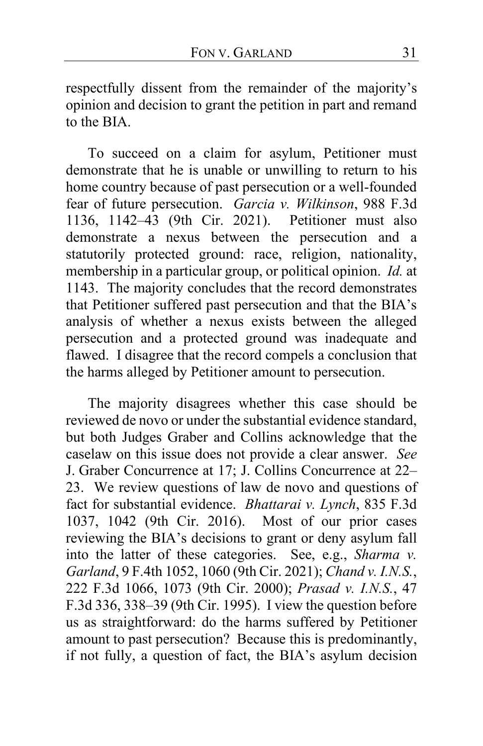respectfully dissent from the remainder of the majority's opinion and decision to grant the petition in part and remand to the BIA.

To succeed on a claim for asylum, Petitioner must demonstrate that he is unable or unwilling to return to his home country because of past persecution or a well-founded fear of future persecution. *Garcia v. Wilkinson*, 988 F.3d 1136, 1142–43 (9th Cir. 2021). Petitioner must also demonstrate a nexus between the persecution and a statutorily protected ground: race, religion, nationality, membership in a particular group, or political opinion. *Id.* at 1143. The majority concludes that the record demonstrates that Petitioner suffered past persecution and that the BIA's analysis of whether a nexus exists between the alleged persecution and a protected ground was inadequate and flawed. I disagree that the record compels a conclusion that the harms alleged by Petitioner amount to persecution.

The majority disagrees whether this case should be reviewed de novo or under the substantial evidence standard, but both Judges Graber and Collins acknowledge that the caselaw on this issue does not provide a clear answer. *See* J. Graber Concurrence at [17;](#page-16-2) J. Collins Concurrence at [22–](#page-21-0) [23.](#page-22-1) We review questions of law de novo and questions of fact for substantial evidence. *Bhattarai v. Lynch*, 835 F.3d 1037, 1042 (9th Cir. 2016). Most of our prior cases reviewing the BIA's decisions to grant or deny asylum fall into the latter of these categories. See, e.g., *Sharma v. Garland*, 9 F.4th 1052, 1060 (9th Cir. 2021); *Chand v. I.N.S.*, 222 F.3d 1066, 1073 (9th Cir. 2000); *Prasad v. I.N.S.*, 47 F.3d 336, 338–39 (9th Cir. 1995). I view the question before us as straightforward: do the harms suffered by Petitioner amount to past persecution? Because this is predominantly, if not fully, a question of fact, the BIA's asylum decision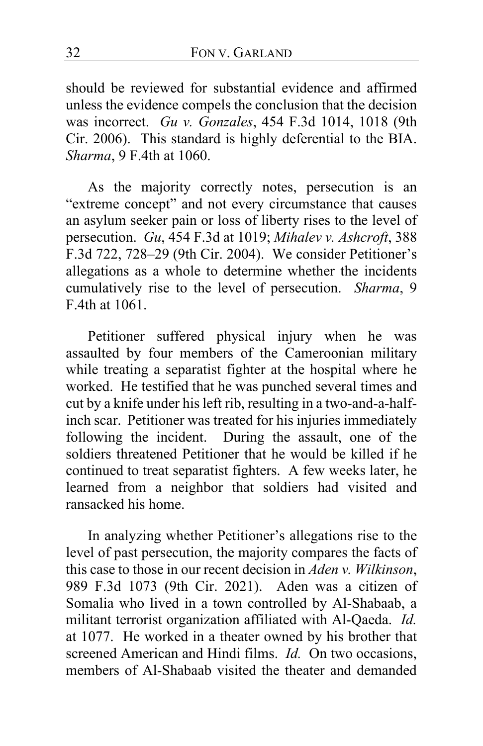should be reviewed for substantial evidence and affirmed unless the evidence compels the conclusion that the decision was incorrect. *Gu v. Gonzales*, 454 F.3d 1014, 1018 (9th Cir. 2006). This standard is highly deferential to the BIA. *Sharma*, 9 F.4th at 1060.

As the majority correctly notes, persecution is an "extreme concept" and not every circumstance that causes an asylum seeker pain or loss of liberty rises to the level of persecution. *Gu*, 454 F.3d at 1019; *Mihalev v. Ashcroft*, 388 F.3d 722, 728–29 (9th Cir. 2004). We consider Petitioner's allegations as a whole to determine whether the incidents cumulatively rise to the level of persecution. *Sharma*, 9 F.4th at 1061.

Petitioner suffered physical injury when he was assaulted by four members of the Cameroonian military while treating a separatist fighter at the hospital where he worked. He testified that he was punched several times and cut by a knife under his left rib, resulting in a two-and-a-halfinch scar. Petitioner was treated for his injuries immediately following the incident. During the assault, one of the soldiers threatened Petitioner that he would be killed if he continued to treat separatist fighters. A few weeks later, he learned from a neighbor that soldiers had visited and ransacked his home.

In analyzing whether Petitioner's allegations rise to the level of past persecution, the majority compares the facts of this case to those in our recent decision in *Aden v. Wilkinson*, 989 F.3d 1073 (9th Cir. 2021). Aden was a citizen of Somalia who lived in a town controlled by Al-Shabaab, a militant terrorist organization affiliated with Al-Qaeda. *Id.* at 1077. He worked in a theater owned by his brother that screened American and Hindi films. *Id.* On two occasions, members of Al-Shabaab visited the theater and demanded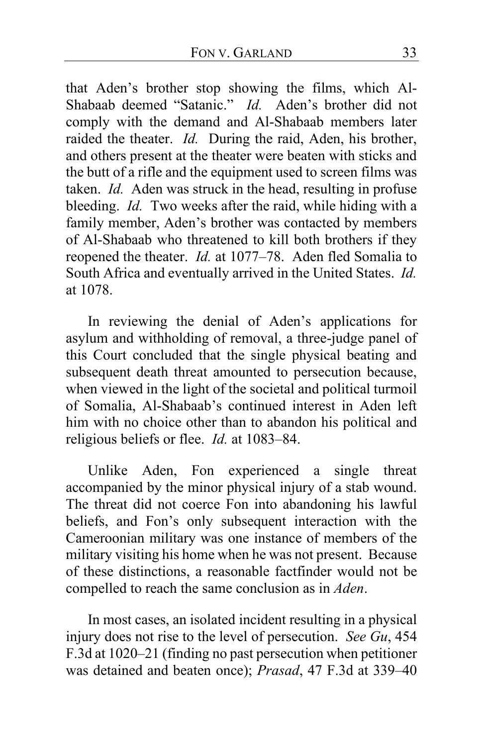that Aden's brother stop showing the films, which Al-Shabaab deemed "Satanic." *Id.* Aden's brother did not comply with the demand and Al-Shabaab members later raided the theater. *Id.* During the raid, Aden, his brother, and others present at the theater were beaten with sticks and the butt of a rifle and the equipment used to screen films was taken. *Id.* Aden was struck in the head, resulting in profuse bleeding. *Id.* Two weeks after the raid, while hiding with a family member, Aden's brother was contacted by members of Al-Shabaab who threatened to kill both brothers if they reopened the theater. *Id.* at 1077–78. Aden fled Somalia to South Africa and eventually arrived in the United States. *Id.* at 1078.

In reviewing the denial of Aden's applications for asylum and withholding of removal, a three-judge panel of this Court concluded that the single physical beating and subsequent death threat amounted to persecution because, when viewed in the light of the societal and political turmoil of Somalia, Al-Shabaab's continued interest in Aden left him with no choice other than to abandon his political and religious beliefs or flee. *Id.* at 1083–84.

<span id="page-32-1"></span><span id="page-32-0"></span>Unlike Aden, Fon experienced a single threat accompanied by the minor physical injury of a stab wound. The threat did not coerce Fon into abandoning his lawful beliefs, and Fon's only subsequent interaction with the Cameroonian military was one instance of members of the military visiting his home when he was not present. Because of these distinctions, a reasonable factfinder would not be compelled to reach the same conclusion as in *Aden*.

In most cases, an isolated incident resulting in a physical injury does not rise to the level of persecution. *See Gu*, 454 F.3d at 1020–21 (finding no past persecution when petitioner was detained and beaten once); *Prasad*, 47 F.3d at 339–40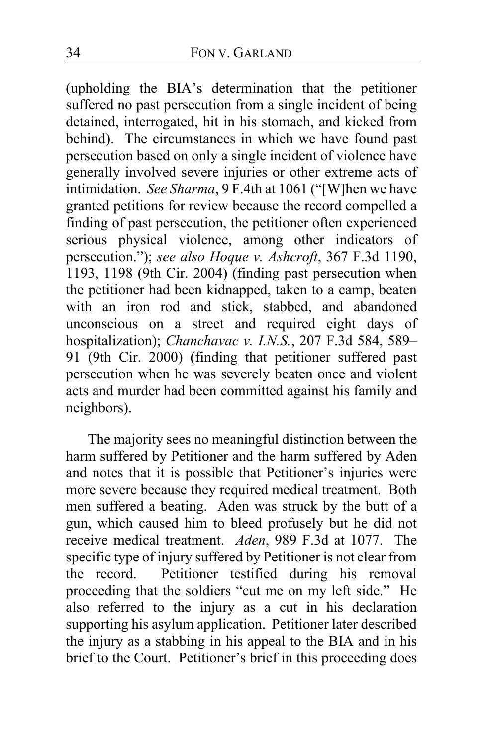(upholding the BIA's determination that the petitioner suffered no past persecution from a single incident of being detained, interrogated, hit in his stomach, and kicked from behind). The circumstances in which we have found past persecution based on only a single incident of violence have generally involved severe injuries or other extreme acts of intimidation. *See Sharma*, 9 F.4th at 1061 ("[W]hen we have granted petitions for review because the record compelled a finding of past persecution, the petitioner often experienced serious physical violence, among other indicators of persecution."); *see also Hoque v. Ashcroft*, 367 F.3d 1190, 1193, 1198 (9th Cir. 2004) (finding past persecution when the petitioner had been kidnapped, taken to a camp, beaten with an iron rod and stick, stabbed, and abandoned unconscious on a street and required eight days of hospitalization); *Chanchavac v. I.N.S.*, 207 F.3d 584, 589– 91 (9th Cir. 2000) (finding that petitioner suffered past persecution when he was severely beaten once and violent acts and murder had been committed against his family and neighbors).

<span id="page-33-0"></span>The majority sees no meaningful distinction between the harm suffered by Petitioner and the harm suffered by Aden and notes that it is possible that Petitioner's injuries were more severe because they required medical treatment. Both men suffered a beating. Aden was struck by the butt of a gun, which caused him to bleed profusely but he did not receive medical treatment. *Aden*, 989 F.3d at 1077. The specific type of injury suffered by Petitioner is not clear from the record. Petitioner testified during his removal proceeding that the soldiers "cut me on my left side." He also referred to the injury as a cut in his declaration supporting his asylum application. Petitioner later described the injury as a stabbing in his appeal to the BIA and in his brief to the Court. Petitioner's brief in this proceeding does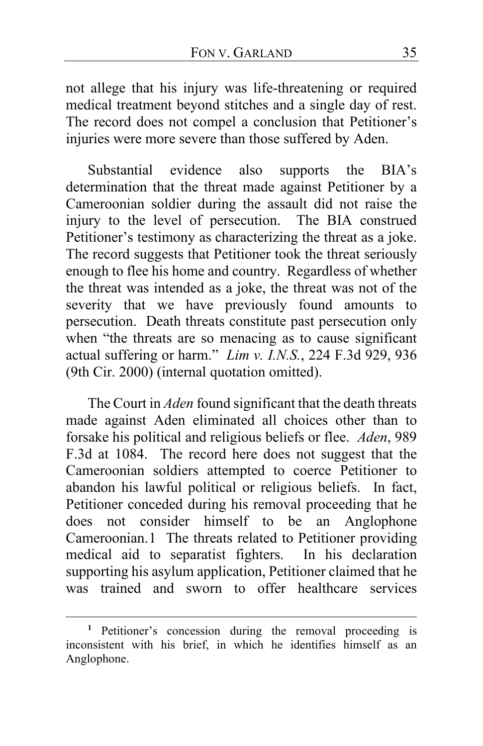not allege that his injury was life-threatening or required medical treatment beyond stitches and a single day of rest. The record does not compel a conclusion that Petitioner's injuries were more severe than those suffered by Aden.

Substantial evidence also supports the BIA's determination that the threat made against Petitioner by a Cameroonian soldier during the assault did not raise the injury to the level of persecution. The BIA construed Petitioner's testimony as characterizing the threat as a joke. The record suggests that Petitioner took the threat seriously enough to flee his home and country. Regardless of whether the threat was intended as a joke, the threat was not of the severity that we have previously found amounts to persecution. Death threats constitute past persecution only when "the threats are so menacing as to cause significant actual suffering or harm." *Lim v. I.N.S.*, 224 F.3d 929, 936 (9th Cir. 2000) (internal quotation omitted).

The Court in *Aden* found significant that the death threats made against Aden eliminated all choices other than to forsake his political and religious beliefs or flee. *Aden*, 989 F.3d at 1084. The record here does not suggest that the Cameroonian soldiers attempted to coerce Petitioner to abandon his lawful political or religious beliefs. In fact, Petitioner conceded during his removal proceeding that he does not consider himself to be an Anglophone Cameroonian.[1](#page-34-0) The threats related to Petitioner providing medical aid to separatist fighters. In his declaration supporting his asylum application, Petitioner claimed that he was trained and sworn to offer healthcare services

<span id="page-34-0"></span>**<sup>1</sup>** Petitioner's concession during the removal proceeding is inconsistent with his brief, in which he identifies himself as an Anglophone.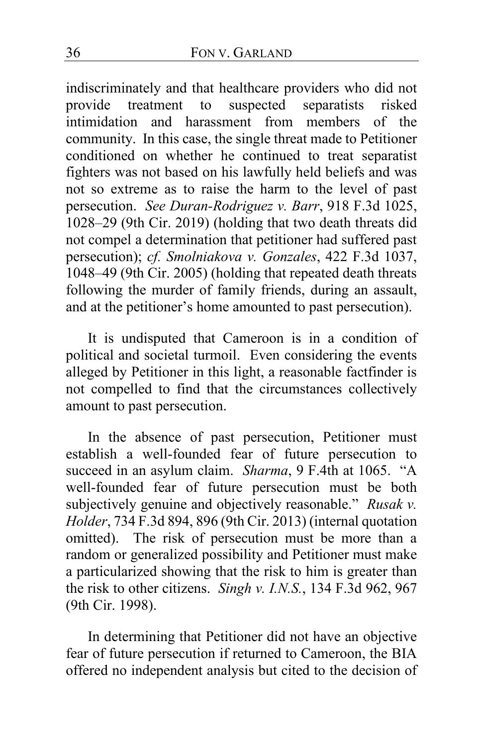indiscriminately and that healthcare providers who did not provide treatment to suspected separatists risked intimidation and harassment from members of the community. In this case, the single threat made to Petitioner conditioned on whether he continued to treat separatist fighters was not based on his lawfully held beliefs and was not so extreme as to raise the harm to the level of past persecution. *See Duran-Rodriguez v. Barr*, 918 F.3d 1025, 1028–29 (9th Cir. 2019) (holding that two death threats did not compel a determination that petitioner had suffered past persecution); *cf. Smolniakova v. Gonzales*, 422 F.3d 1037, 1048–49 (9th Cir. 2005) (holding that repeated death threats following the murder of family friends, during an assault, and at the petitioner's home amounted to past persecution).

It is undisputed that Cameroon is in a condition of political and societal turmoil. Even considering the events alleged by Petitioner in this light, a reasonable factfinder is not compelled to find that the circumstances collectively amount to past persecution.

In the absence of past persecution, Petitioner must establish a well-founded fear of future persecution to succeed in an asylum claim. *Sharma*, 9 F.4th at 1065. "A well-founded fear of future persecution must be both subjectively genuine and objectively reasonable." *Rusak v. Holder*, 734 F.3d 894, 896 (9th Cir. 2013) (internal quotation omitted). The risk of persecution must be more than a random or generalized possibility and Petitioner must make a particularized showing that the risk to him is greater than the risk to other citizens. *Singh v. I.N.S.*, 134 F.3d 962, 967 (9th Cir. 1998).

In determining that Petitioner did not have an objective fear of future persecution if returned to Cameroon, the BIA offered no independent analysis but cited to the decision of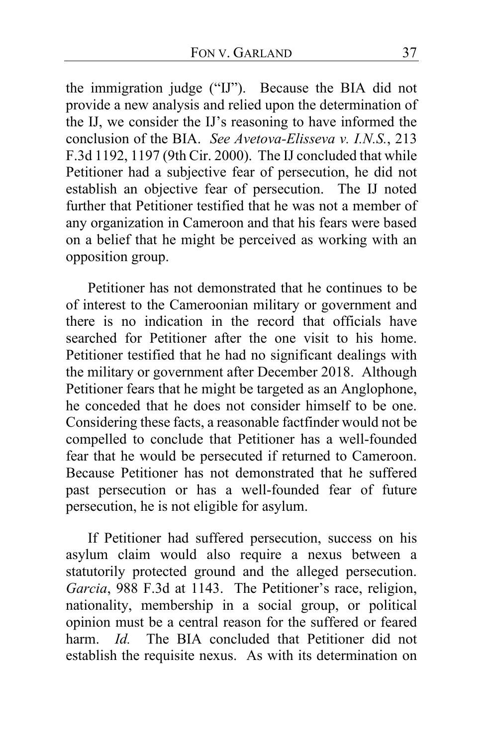the immigration judge ("IJ"). Because the BIA did not provide a new analysis and relied upon the determination of the IJ, we consider the IJ's reasoning to have informed the conclusion of the BIA. *See Avetova-Elisseva v. I.N.S.*, 213 F.3d 1192, 1197 (9th Cir. 2000). The IJ concluded that while Petitioner had a subjective fear of persecution, he did not establish an objective fear of persecution. The IJ noted further that Petitioner testified that he was not a member of any organization in Cameroon and that his fears were based on a belief that he might be perceived as working with an opposition group.

Petitioner has not demonstrated that he continues to be of interest to the Cameroonian military or government and there is no indication in the record that officials have searched for Petitioner after the one visit to his home. Petitioner testified that he had no significant dealings with the military or government after December 2018. Although Petitioner fears that he might be targeted as an Anglophone, he conceded that he does not consider himself to be one. Considering these facts, a reasonable factfinder would not be compelled to conclude that Petitioner has a well-founded fear that he would be persecuted if returned to Cameroon. Because Petitioner has not demonstrated that he suffered past persecution or has a well-founded fear of future persecution, he is not eligible for asylum.

If Petitioner had suffered persecution, success on his asylum claim would also require a nexus between a statutorily protected ground and the alleged persecution. *Garcia*, 988 F.3d at 1143. The Petitioner's race, religion, nationality, membership in a social group, or political opinion must be a central reason for the suffered or feared harm. *Id.* The BIA concluded that Petitioner did not establish the requisite nexus. As with its determination on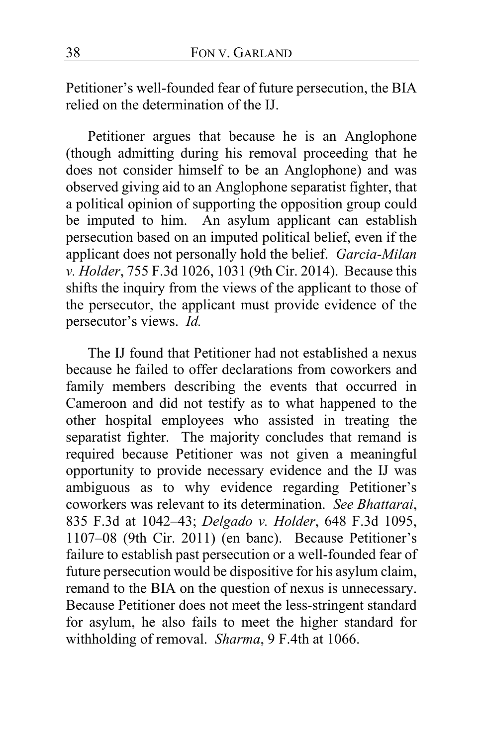Petitioner's well-founded fear of future persecution, the BIA relied on the determination of the IJ.

Petitioner argues that because he is an Anglophone (though admitting during his removal proceeding that he does not consider himself to be an Anglophone) and was observed giving aid to an Anglophone separatist fighter, that a political opinion of supporting the opposition group could be imputed to him. An asylum applicant can establish persecution based on an imputed political belief, even if the applicant does not personally hold the belief. *Garcia-Milan v. Holder*, 755 F.3d 1026, 1031 (9th Cir. 2014). Because this shifts the inquiry from the views of the applicant to those of the persecutor, the applicant must provide evidence of the persecutor's views. *Id.*

The IJ found that Petitioner had not established a nexus because he failed to offer declarations from coworkers and family members describing the events that occurred in Cameroon and did not testify as to what happened to the other hospital employees who assisted in treating the separatist fighter. The majority concludes that remand is required because Petitioner was not given a meaningful opportunity to provide necessary evidence and the IJ was ambiguous as to why evidence regarding Petitioner's coworkers was relevant to its determination. *See Bhattarai*, 835 F.3d at 1042–43; *Delgado v. Holder*, 648 F.3d 1095, 1107–08 (9th Cir. 2011) (en banc). Because Petitioner's failure to establish past persecution or a well-founded fear of future persecution would be dispositive for his asylum claim, remand to the BIA on the question of nexus is unnecessary. Because Petitioner does not meet the less-stringent standard for asylum, he also fails to meet the higher standard for withholding of removal. *Sharma*, 9 F.4th at 1066.